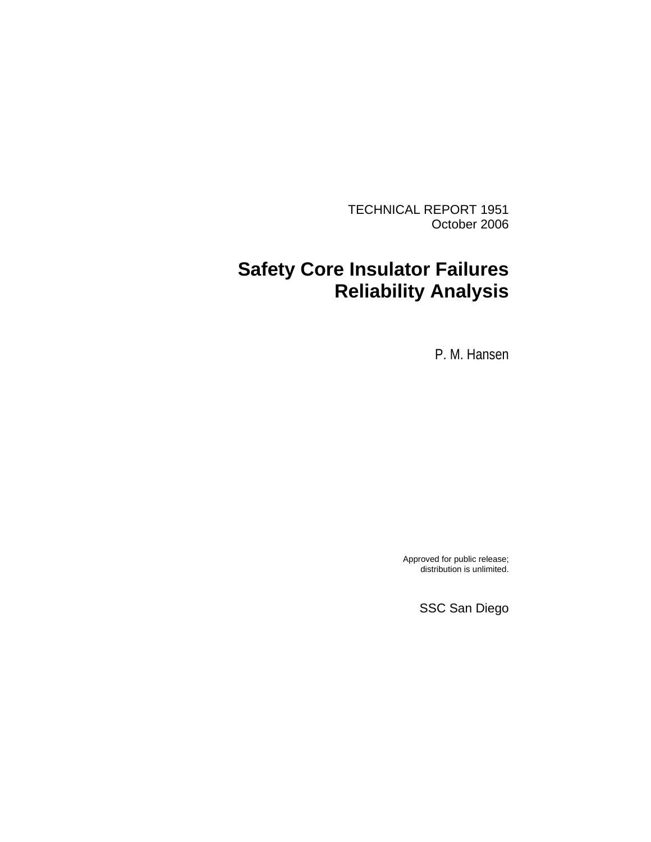TECHNICAL REPORT 1951 October 2006

# **Safety Core Insulator Failures Reliability Analysis**

P. M. Hansen

Approved for public release; distribution is unlimited.

SSC San Diego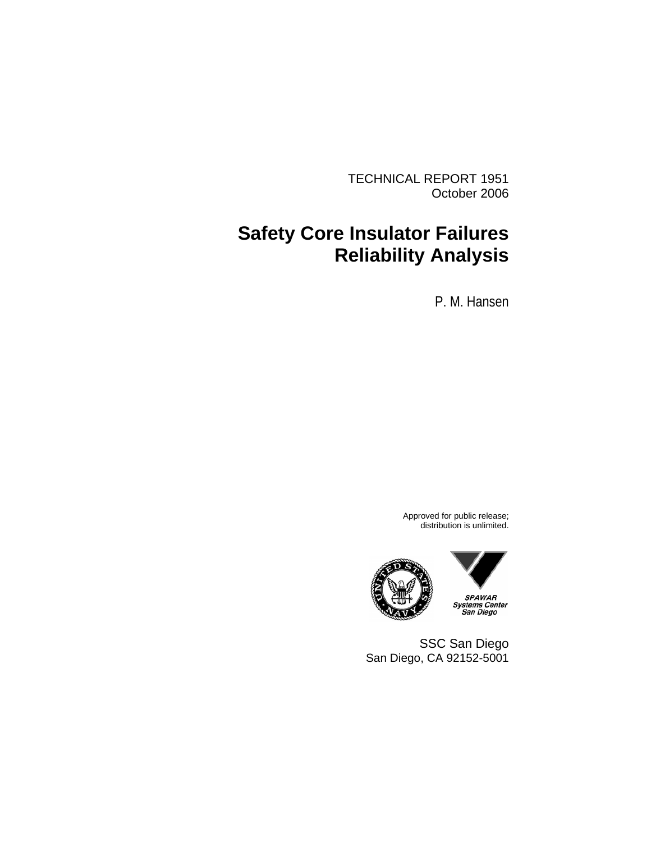TECHNICAL REPORT 1951 October 2006

# **Safety Core Insulator Failures Reliability Analysis**

P. M. Hansen

Approved for public release; distribution is unlimited.





SSC San Diego San Diego, CA 92152-5001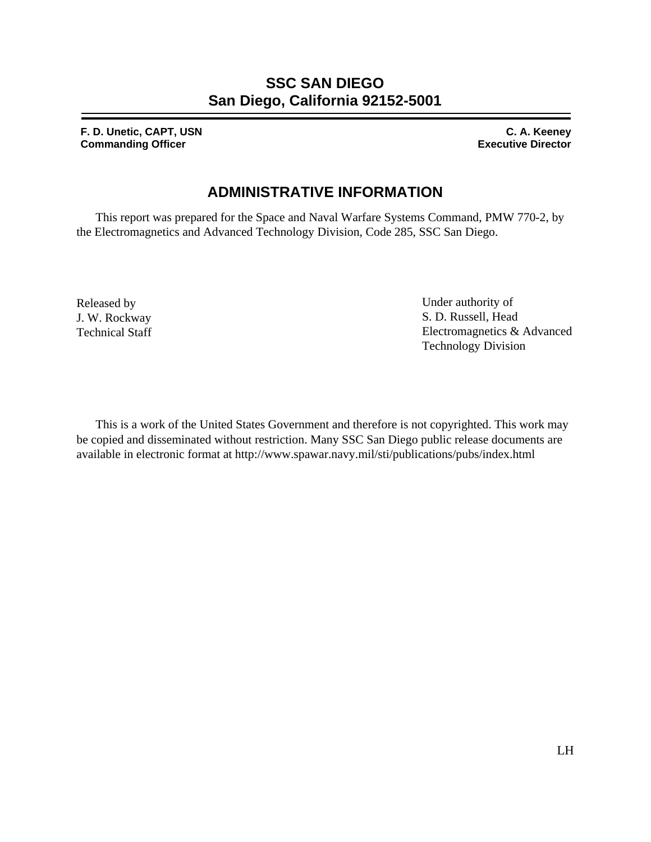## **SSC SAN DIEGO San Diego, California 92152-5001**

**F. D. Unetic, CAPT, USN C. A. Keeney Commanding Officer Commanding Officer Commanding Officer Commanding Officer Commanding Officer Commanding Officer Commanding Officer Commanding Officer Commanding Officer Commanding Officer Commanding Officer Commanding O** 

## **ADMINISTRATIVE INFORMATION**

This report was prepared for the Space and Naval Warfare Systems Command, PMW 770-2, by the Electromagnetics and Advanced Technology Division, Code 285, SSC San Diego.

Released by J. W. Rockway Technical Staff Under authority of S. D. Russell, Head Electromagnetics & Advanced Technology Division

This is a work of the United States Government and therefore is not copyrighted. This work may be copied and disseminated without restriction. Many SSC San Diego public release documents are available in electronic format at http://www.spawar.navy.mil/sti/publications/pubs/index.html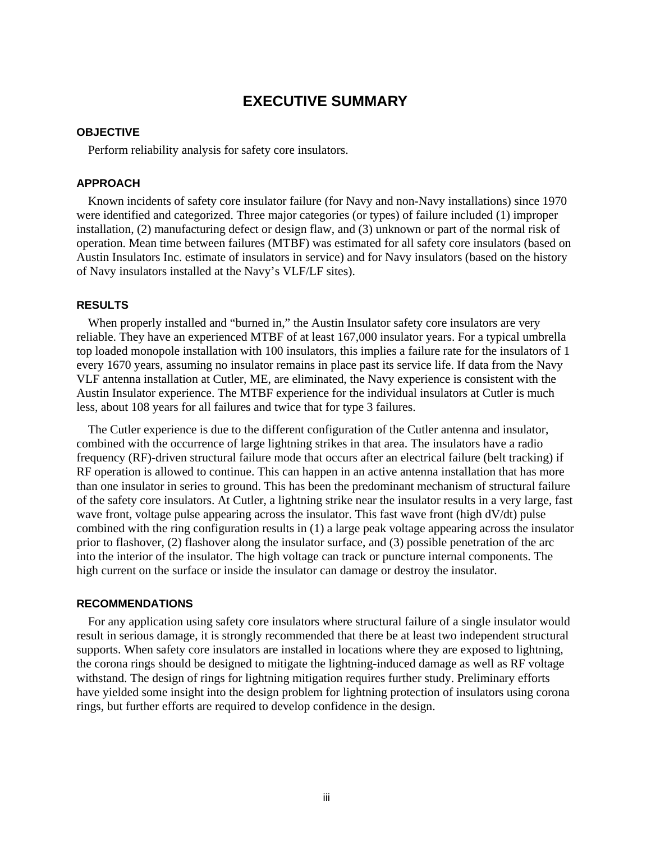### **EXECUTIVE SUMMARY**

### <span id="page-3-0"></span>**OBJECTIVE**

Perform reliability analysis for safety core insulators.

### **APPROACH**

Known incidents of safety core insulator failure (for Navy and non-Navy installations) since 1970 were identified and categorized. Three major categories (or types) of failure included (1) improper installation, (2) manufacturing defect or design flaw, and (3) unknown or part of the normal risk of operation. Mean time between failures (MTBF) was estimated for all safety core insulators (based on Austin Insulators Inc. estimate of insulators in service) and for Navy insulators (based on the history of Navy insulators installed at the Navy's VLF/LF sites).

### **RESULTS**

When properly installed and "burned in," the Austin Insulator safety core insulators are very reliable. They have an experienced MTBF of at least 167,000 insulator years. For a typical umbrella top loaded monopole installation with 100 insulators, this implies a failure rate for the insulators of 1 every 1670 years, assuming no insulator remains in place past its service life. If data from the Navy VLF antenna installation at Cutler, ME, are eliminated, the Navy experience is consistent with the Austin Insulator experience. The MTBF experience for the individual insulators at Cutler is much less, about 108 years for all failures and twice that for type 3 failures.

The Cutler experience is due to the different configuration of the Cutler antenna and insulator, combined with the occurrence of large lightning strikes in that area. The insulators have a radio frequency (RF)-driven structural failure mode that occurs after an electrical failure (belt tracking) if RF operation is allowed to continue. This can happen in an active antenna installation that has more than one insulator in series to ground. This has been the predominant mechanism of structural failure of the safety core insulators. At Cutler, a lightning strike near the insulator results in a very large, fast wave front, voltage pulse appearing across the insulator. This fast wave front (high dV/dt) pulse combined with the ring configuration results in (1) a large peak voltage appearing across the insulator prior to flashover, (2) flashover along the insulator surface, and (3) possible penetration of the arc into the interior of the insulator. The high voltage can track or puncture internal components. The high current on the surface or inside the insulator can damage or destroy the insulator.

#### **RECOMMENDATIONS**

For any application using safety core insulators where structural failure of a single insulator would result in serious damage, it is strongly recommended that there be at least two independent structural supports. When safety core insulators are installed in locations where they are exposed to lightning, the corona rings should be designed to mitigate the lightning-induced damage as well as RF voltage withstand. The design of rings for lightning mitigation requires further study. Preliminary efforts have yielded some insight into the design problem for lightning protection of insulators using corona rings, but further efforts are required to develop confidence in the design.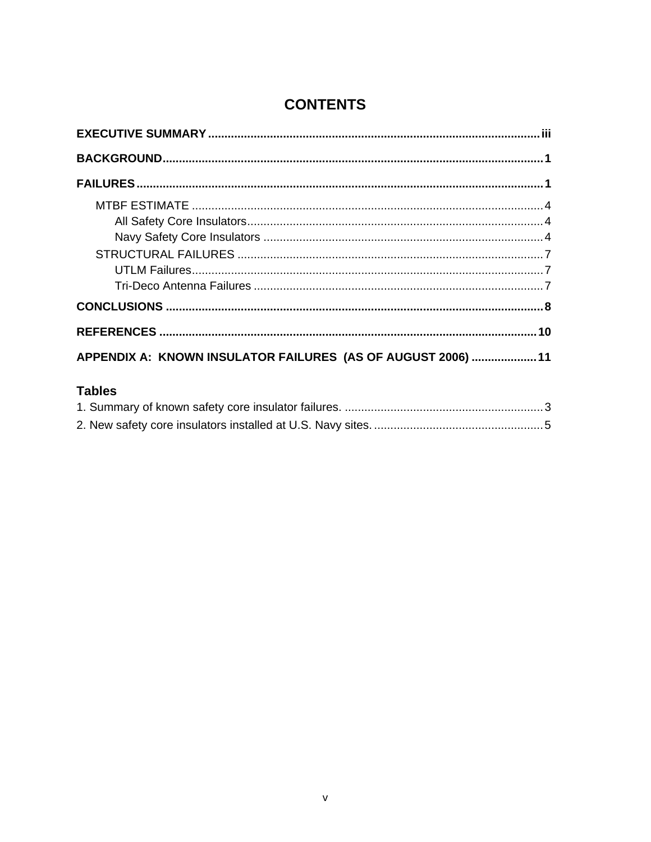# **CONTENTS**

| APPENDIX A: KNOWN INSULATOR FAILURES (AS OF AUGUST 2006)  11 |  |
|--------------------------------------------------------------|--|

# **Tables**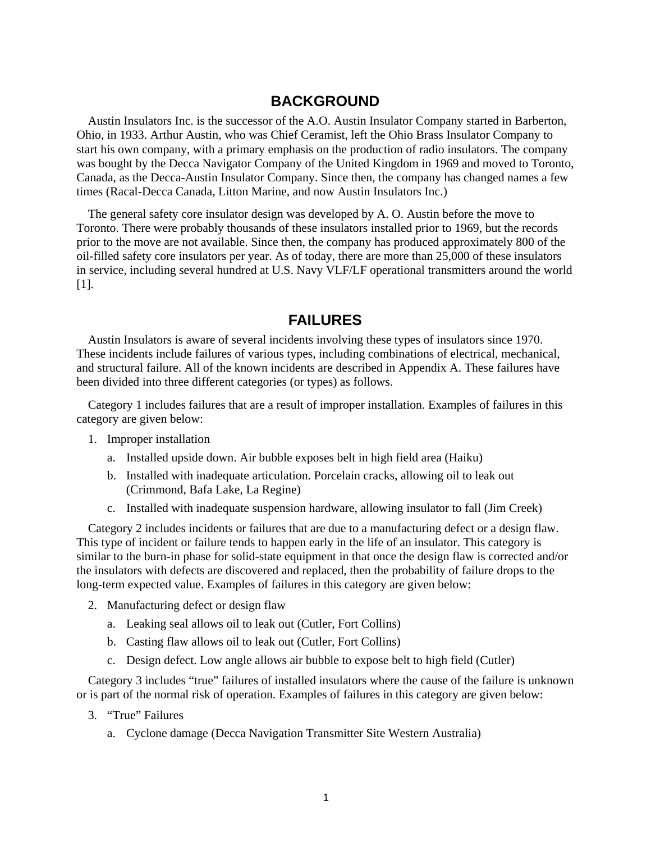### **BACKGROUND**

<span id="page-5-0"></span>Austin Insulators Inc. is the successor of the A.O. Austin Insulator Company started in Barberton, Ohio, in 1933. Arthur Austin, who was Chief Ceramist, left the Ohio Brass Insulator Company to start his own company, with a primary emphasis on the production of radio insulators. The company was bought by the Decca Navigator Company of the United Kingdom in 1969 and moved to Toronto, Canada, as the Decca-Austin Insulator Company. Since then, the company has changed names a few times (Racal-Decca Canada, Litton Marine, and now Austin Insulators Inc.)

The general safety core insulator design was developed by A. O. Austin before the move to Toronto. There were probably thousands of these insulators installed prior to 1969, but the records prior to the move are not available. Since then, the company has produced approximately 800 of the oil-filled safety core insulators per year. As of today, there are more than 25,000 of these insulators in service, including several hundred at U.S. Navy VLF/LF operational transmitters around the world [1].

### **FAILURES**

Austin Insulators is aware of several incidents involving these types of insulators since 1970. These incidents include failures of various types, including combinations of electrical, mechanical, and structural failure. All of the known incidents are described in Appendix A. These failures have been divided into three different categories (or types) as follows.

Category 1 includes failures that are a result of improper installation. Examples of failures in this category are given below:

- 1. Improper installation
	- a. Installed upside down. Air bubble exposes belt in high field area (Haiku)
	- b. Installed with inadequate articulation. Porcelain cracks, allowing oil to leak out (Crimmond, Bafa Lake, La Regine)
	- c. Installed with inadequate suspension hardware, allowing insulator to fall (Jim Creek)

Category 2 includes incidents or failures that are due to a manufacturing defect or a design flaw. This type of incident or failure tends to happen early in the life of an insulator. This category is similar to the burn-in phase for solid-state equipment in that once the design flaw is corrected and/or the insulators with defects are discovered and replaced, then the probability of failure drops to the long-term expected value. Examples of failures in this category are given below:

- 2. Manufacturing defect or design flaw
	- a. Leaking seal allows oil to leak out (Cutler, Fort Collins)
	- b. Casting flaw allows oil to leak out (Cutler, Fort Collins)
	- c. Design defect. Low angle allows air bubble to expose belt to high field (Cutler)

Category 3 includes "true" failures of installed insulators where the cause of the failure is unknown or is part of the normal risk of operation. Examples of failures in this category are given below:

- 3. "True" Failures
	- a. Cyclone damage (Decca Navigation Transmitter Site Western Australia)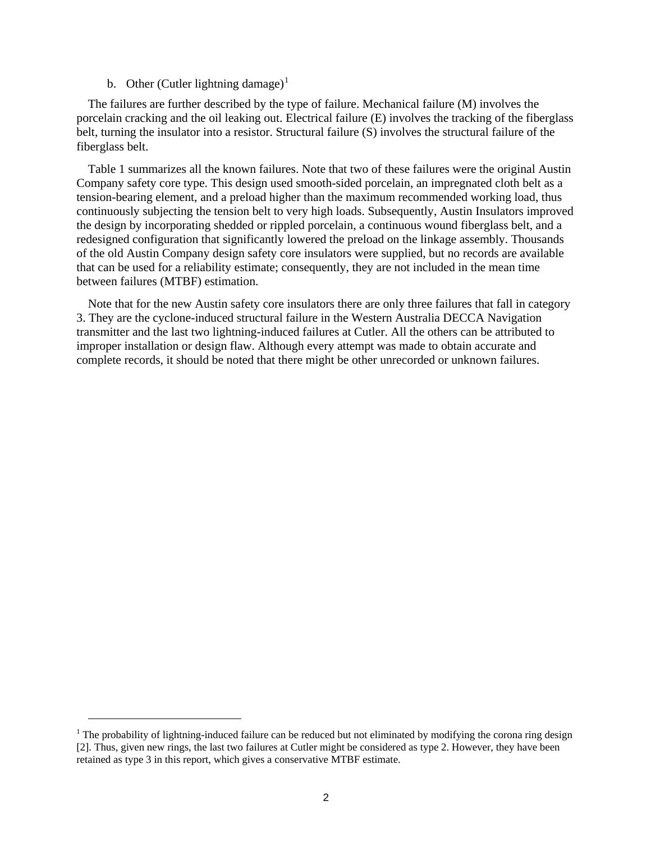b. Other (Cutler lightning damage)<sup>[1](#page-6-0)</sup>

The failures are further described by the type of failure. Mechanical failure (M) involves the porcelain cracking and the oil leaking out. Electrical failure (E) involves the tracking of the fiberglass belt, turning the insulator into a resistor. Structural failure (S) involves the structural failure of the fiberglass belt.

Table 1 summarizes all the known failures. Note that two of these failures were the original Austin Company safety core type. This design used smooth-sided porcelain, an impregnated cloth belt as a tension-bearing element, and a preload higher than the maximum recommended working load, thus continuously subjecting the tension belt to very high loads. Subsequently, Austin Insulators improved the design by incorporating shedded or rippled porcelain, a continuous wound fiberglass belt, and a redesigned configuration that significantly lowered the preload on the linkage assembly. Thousands of the old Austin Company design safety core insulators were supplied, but no records are available that can be used for a reliability estimate; consequently, they are not included in the mean time between failures (MTBF) estimation.

Note that for the new Austin safety core insulators there are only three failures that fall in category 3. They are the cyclone-induced structural failure in the Western Australia DECCA Navigation transmitter and the last two lightning-induced failures at Cutler. All the others can be attributed to improper installation or design flaw. Although every attempt was made to obtain accurate and complete records, it should be noted that there might be other unrecorded or unknown failures.

<span id="page-6-0"></span><sup>&</sup>lt;sup>1</sup> The probability of lightning-induced failure can be reduced but not eliminated by modifying the corona ring design [2]. Thus, given new rings, the last two failures at Cutler might be considered as type 2. However, they have been retained as type 3 in this report, which gives a conservative MTBF estimate.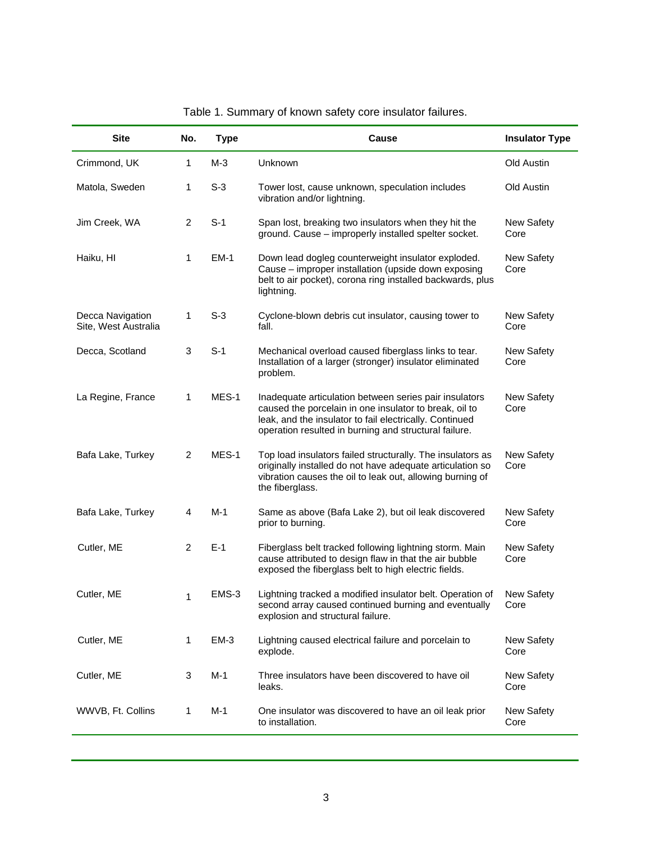<span id="page-7-0"></span>

| <b>Site</b>                              | No.            | <b>Type</b> | Cause                                                                                                                                                                                                                                | <b>Insulator Type</b> |
|------------------------------------------|----------------|-------------|--------------------------------------------------------------------------------------------------------------------------------------------------------------------------------------------------------------------------------------|-----------------------|
| Crimmond, UK                             | 1              | $M-3$       | Unknown                                                                                                                                                                                                                              | Old Austin            |
| Matola, Sweden                           | 1              | $S-3$       | Tower lost, cause unknown, speculation includes<br>vibration and/or lightning.                                                                                                                                                       | Old Austin            |
| Jim Creek, WA                            | $\overline{2}$ | $S-1$       | Span lost, breaking two insulators when they hit the<br>ground. Cause - improperly installed spelter socket.                                                                                                                         | New Safety<br>Core    |
| Haiku, HI                                | 1              | <b>EM-1</b> | Down lead dogleg counterweight insulator exploded.<br>Cause - improper installation (upside down exposing<br>belt to air pocket), corona ring installed backwards, plus<br>lightning.                                                | New Safety<br>Core    |
| Decca Navigation<br>Site, West Australia | 1              | $S-3$       | Cyclone-blown debris cut insulator, causing tower to<br>fall.                                                                                                                                                                        | New Safety<br>Core    |
| Decca, Scotland                          | 3              | $S-1$       | Mechanical overload caused fiberglass links to tear.<br>Installation of a larger (stronger) insulator eliminated<br>problem.                                                                                                         | New Safety<br>Core    |
| La Regine, France                        | 1              | MES-1       | Inadequate articulation between series pair insulators<br>caused the porcelain in one insulator to break, oil to<br>leak, and the insulator to fail electrically. Continued<br>operation resulted in burning and structural failure. | New Safety<br>Core    |
| Bafa Lake, Turkey                        | 2              | MES-1       | Top load insulators failed structurally. The insulators as<br>originally installed do not have adequate articulation so<br>vibration causes the oil to leak out, allowing burning of<br>the fiberglass.                              | New Safety<br>Core    |
| Bafa Lake, Turkey                        | 4              | $M-1$       | Same as above (Bafa Lake 2), but oil leak discovered<br>prior to burning.                                                                                                                                                            | New Safety<br>Core    |
| Cutler, ME                               | $\overline{2}$ | $E-1$       | Fiberglass belt tracked following lightning storm. Main<br>cause attributed to design flaw in that the air bubble<br>exposed the fiberglass belt to high electric fields.                                                            | New Safety<br>Core    |
| Cutler, ME                               | 1              | EMS-3       | Lightning tracked a modified insulator belt. Operation of<br>second array caused continued burning and eventually<br>explosion and structural failure.                                                                               | New Safety<br>Core    |
| Cutler, ME                               | 1              | $EM-3$      | Lightning caused electrical failure and porcelain to<br>explode.                                                                                                                                                                     | New Safety<br>Core    |
| Cutler, ME                               | 3              | $M-1$       | Three insulators have been discovered to have oil<br>leaks.                                                                                                                                                                          | New Safety<br>Core    |
| WWVB, Ft. Collins                        | 1              | M-1         | One insulator was discovered to have an oil leak prior<br>to installation.                                                                                                                                                           | New Safety<br>Core    |

### Table 1. Summary of known safety core insulator failures.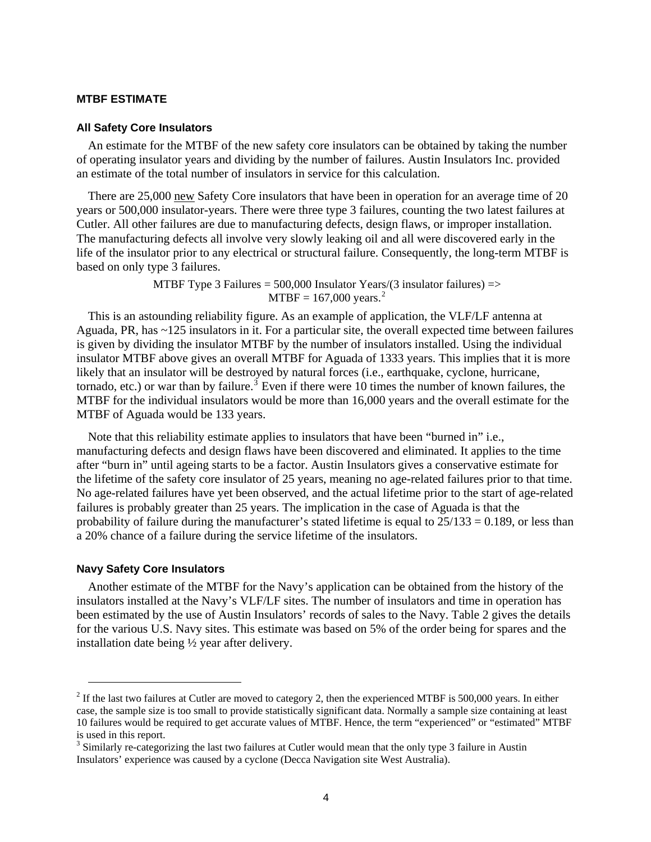#### <span id="page-8-0"></span>**MTBF ESTIMATE**

#### **All Safety Core Insulators**

An estimate for the MTBF of the new safety core insulators can be obtained by taking the number of operating insulator years and dividing by the number of failures. Austin Insulators Inc. provided an estimate of the total number of insulators in service for this calculation.

There are 25,000 new Safety Core insulators that have been in operation for an average time of 20 years or 500,000 insulator-years. There were three type 3 failures, counting the two latest failures at Cutler. All other failures are due to manufacturing defects, design flaws, or improper installation. The manufacturing defects all involve very slowly leaking oil and all were discovered early in the life of the insulator prior to any electrical or structural failure. Consequently, the long-term MTBF is based on only type 3 failures.

> MTBF Type 3 Failures = 500,000 Insulator Years/(3 insulator failures) =>  $MTBF = 167,000 \text{ years.}^2$  $MTBF = 167,000 \text{ years.}^2$

This is an astounding reliability figure. As an example of application, the VLF/LF antenna at Aguada, PR, has ~125 insulators in it. For a particular site, the overall expected time between failures is given by dividing the insulator MTBF by the number of insulators installed. Using the individual insulator MTBF above gives an overall MTBF for Aguada of 1333 years. This implies that it is more likely that an insulator will be destroyed by natural forces (i.e., earthquake, cyclone, hurricane, tornado, etc.) or war than by failure.<sup>[3](#page-8-2)</sup> Even if there were 10 times the number of known failures, the MTBF for the individual insulators would be more than 16,000 years and the overall estimate for the MTBF of Aguada would be 133 years.

Note that this reliability estimate applies to insulators that have been "burned in" i.e., manufacturing defects and design flaws have been discovered and eliminated. It applies to the time after "burn in" until ageing starts to be a factor. Austin Insulators gives a conservative estimate for the lifetime of the safety core insulator of 25 years, meaning no age-related failures prior to that time. No age-related failures have yet been observed, and the actual lifetime prior to the start of age-related failures is probably greater than 25 years. The implication in the case of Aguada is that the probability of failure during the manufacturer's stated lifetime is equal to  $25/133 = 0.189$ , or less than a 20% chance of a failure during the service lifetime of the insulators.

### **Navy Safety Core Insulators**

Another estimate of the MTBF for the Navy's application can be obtained from the history of the insulators installed at the Navy's VLF/LF sites. The number of insulators and time in operation has been estimated by the use of Austin Insulators' records of sales to the Navy. Table 2 gives the details for the various U.S. Navy sites. This estimate was based on 5% of the order being for spares and the installation date being ½ year after delivery.

<span id="page-8-1"></span> $2^2$  If the last two failures at Cutler are moved to category 2, then the experienced MTBF is 500,000 years. In either case, the sample size is too small to provide statistically significant data. Normally a sample size containing at least 10 failures would be required to get accurate values of MTBF. Hence, the term "experienced" or "estimated" MTBF is used in this report.

<span id="page-8-2"></span><sup>&</sup>lt;sup>3</sup> Similarly re-categorizing the last two failures at Cutler would mean that the only type 3 failure in Austin Insulators' experience was caused by a cyclone (Decca Navigation site West Australia).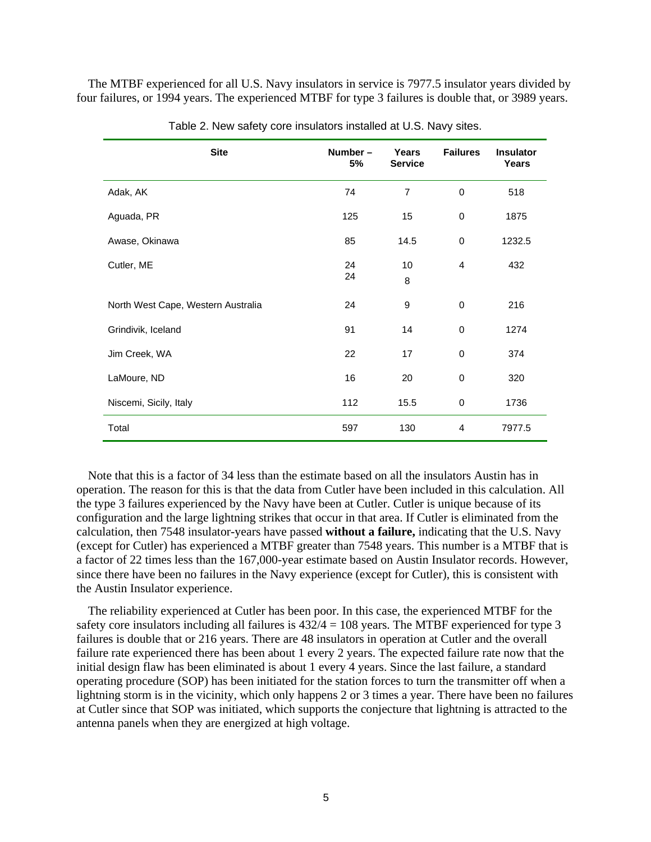<span id="page-9-0"></span>The MTBF experienced for all U.S. Navy insulators in service is 7977.5 insulator years divided by four failures, or 1994 years. The experienced MTBF for type 3 failures is double that, or 3989 years.

| <b>Site</b>                        | Number-<br>5% | <b>Years</b><br><b>Service</b> | <b>Failures</b> | <b>Insulator</b><br>Years |
|------------------------------------|---------------|--------------------------------|-----------------|---------------------------|
| Adak, AK                           | 74            | $\overline{7}$                 | 0               | 518                       |
| Aguada, PR                         | 125           | 15                             | 0               | 1875                      |
| Awase, Okinawa                     | 85            | 14.5                           | 0               | 1232.5                    |
| Cutler, ME                         | 24<br>24      | 10<br>8                        | 4               | 432                       |
| North West Cape, Western Australia | 24            | 9                              | 0               | 216                       |
| Grindivik, Iceland                 | 91            | 14                             | 0               | 1274                      |
| Jim Creek, WA                      | 22            | 17                             | 0               | 374                       |
| LaMoure, ND                        | 16            | 20                             | 0               | 320                       |
| Niscemi, Sicily, Italy             | 112           | 15.5                           | 0               | 1736                      |
| Total                              | 597           | 130                            | 4               | 7977.5                    |

Table 2. New safety core insulators installed at U.S. Navy sites.

Note that this is a factor of 34 less than the estimate based on all the insulators Austin has in operation. The reason for this is that the data from Cutler have been included in this calculation. All the type 3 failures experienced by the Navy have been at Cutler. Cutler is unique because of its configuration and the large lightning strikes that occur in that area. If Cutler is eliminated from the calculation, then 7548 insulator-years have passed **without a failure,** indicating that the U.S. Navy (except for Cutler) has experienced a MTBF greater than 7548 years. This number is a MTBF that is a factor of 22 times less than the 167,000-year estimate based on Austin Insulator records. However, since there have been no failures in the Navy experience (except for Cutler), this is consistent with the Austin Insulator experience.

The reliability experienced at Cutler has been poor. In this case, the experienced MTBF for the safety core insulators including all failures is  $432/4 = 108$  years. The MTBF experienced for type 3 failures is double that or 216 years. There are 48 insulators in operation at Cutler and the overall failure rate experienced there has been about 1 every 2 years. The expected failure rate now that the initial design flaw has been eliminated is about 1 every 4 years. Since the last failure, a standard operating procedure (SOP) has been initiated for the station forces to turn the transmitter off when a lightning storm is in the vicinity, which only happens 2 or 3 times a year. There have been no failures at Cutler since that SOP was initiated, which supports the conjecture that lightning is attracted to the antenna panels when they are energized at high voltage.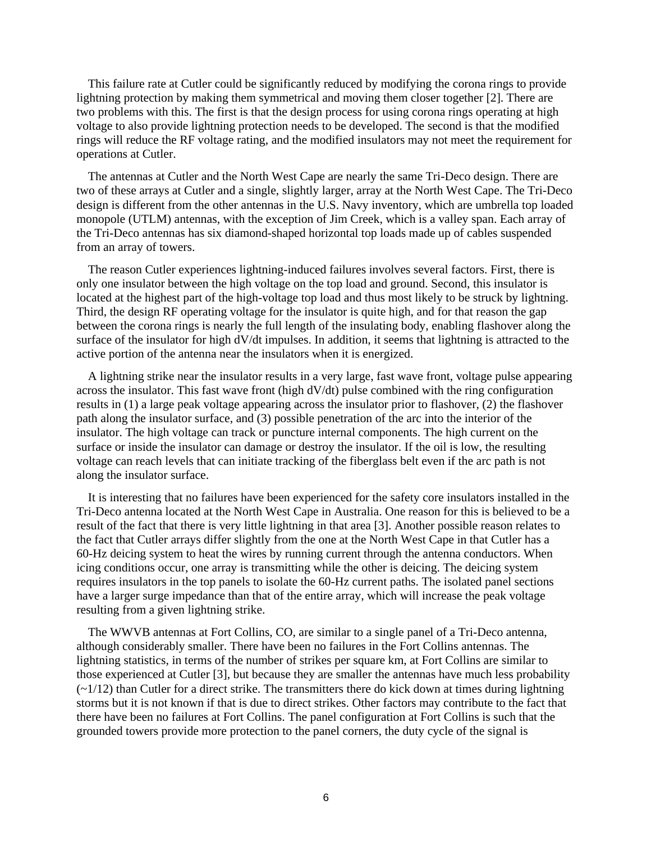This failure rate at Cutler could be significantly reduced by modifying the corona rings to provide lightning protection by making them symmetrical and moving them closer together [2]. There are two problems with this. The first is that the design process for using corona rings operating at high voltage to also provide lightning protection needs to be developed. The second is that the modified rings will reduce the RF voltage rating, and the modified insulators may not meet the requirement for operations at Cutler.

The antennas at Cutler and the North West Cape are nearly the same Tri-Deco design. There are two of these arrays at Cutler and a single, slightly larger, array at the North West Cape. The Tri-Deco design is different from the other antennas in the U.S. Navy inventory, which are umbrella top loaded monopole (UTLM) antennas, with the exception of Jim Creek, which is a valley span. Each array of the Tri-Deco antennas has six diamond-shaped horizontal top loads made up of cables suspended from an array of towers.

The reason Cutler experiences lightning-induced failures involves several factors. First, there is only one insulator between the high voltage on the top load and ground. Second, this insulator is located at the highest part of the high-voltage top load and thus most likely to be struck by lightning. Third, the design RF operating voltage for the insulator is quite high, and for that reason the gap between the corona rings is nearly the full length of the insulating body, enabling flashover along the surface of the insulator for high dV/dt impulses. In addition, it seems that lightning is attracted to the active portion of the antenna near the insulators when it is energized.

A lightning strike near the insulator results in a very large, fast wave front, voltage pulse appearing across the insulator. This fast wave front (high dV/dt) pulse combined with the ring configuration results in (1) a large peak voltage appearing across the insulator prior to flashover, (2) the flashover path along the insulator surface, and (3) possible penetration of the arc into the interior of the insulator. The high voltage can track or puncture internal components. The high current on the surface or inside the insulator can damage or destroy the insulator. If the oil is low, the resulting voltage can reach levels that can initiate tracking of the fiberglass belt even if the arc path is not along the insulator surface.

It is interesting that no failures have been experienced for the safety core insulators installed in the Tri-Deco antenna located at the North West Cape in Australia. One reason for this is believed to be a result of the fact that there is very little lightning in that area [3]. Another possible reason relates to the fact that Cutler arrays differ slightly from the one at the North West Cape in that Cutler has a 60-Hz deicing system to heat the wires by running current through the antenna conductors. When icing conditions occur, one array is transmitting while the other is deicing. The deicing system requires insulators in the top panels to isolate the 60-Hz current paths. The isolated panel sections have a larger surge impedance than that of the entire array, which will increase the peak voltage resulting from a given lightning strike.

The WWVB antennas at Fort Collins, CO, are similar to a single panel of a Tri-Deco antenna, although considerably smaller. There have been no failures in the Fort Collins antennas. The lightning statistics, in terms of the number of strikes per square km, at Fort Collins are similar to those experienced at Cutler [3], but because they are smaller the antennas have much less probability  $(\sim 1/12)$  than Cutler for a direct strike. The transmitters there do kick down at times during lightning storms but it is not known if that is due to direct strikes. Other factors may contribute to the fact that there have been no failures at Fort Collins. The panel configuration at Fort Collins is such that the grounded towers provide more protection to the panel corners, the duty cycle of the signal is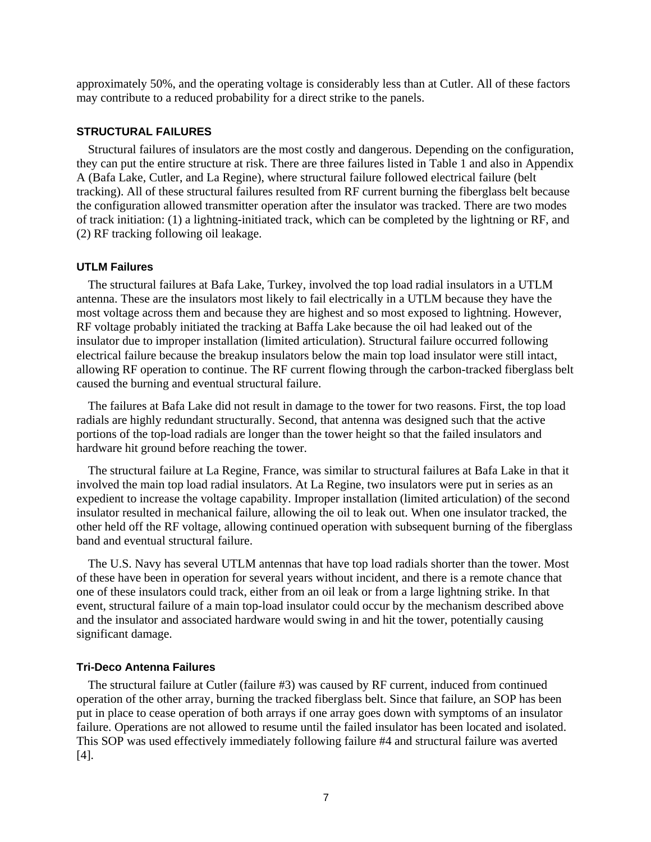<span id="page-11-0"></span>approximately 50%, and the operating voltage is considerably less than at Cutler. All of these factors may contribute to a reduced probability for a direct strike to the panels.

### **STRUCTURAL FAILURES**

Structural failures of insulators are the most costly and dangerous. Depending on the configuration, they can put the entire structure at risk. There are three failures listed in Table 1 and also in Appendix A (Bafa Lake, Cutler, and La Regine), where structural failure followed electrical failure (belt tracking). All of these structural failures resulted from RF current burning the fiberglass belt because the configuration allowed transmitter operation after the insulator was tracked. There are two modes of track initiation: (1) a lightning-initiated track, which can be completed by the lightning or RF, and (2) RF tracking following oil leakage.

#### **UTLM Failures**

The structural failures at Bafa Lake, Turkey, involved the top load radial insulators in a UTLM antenna. These are the insulators most likely to fail electrically in a UTLM because they have the most voltage across them and because they are highest and so most exposed to lightning. However, RF voltage probably initiated the tracking at Baffa Lake because the oil had leaked out of the insulator due to improper installation (limited articulation). Structural failure occurred following electrical failure because the breakup insulators below the main top load insulator were still intact, allowing RF operation to continue. The RF current flowing through the carbon-tracked fiberglass belt caused the burning and eventual structural failure.

The failures at Bafa Lake did not result in damage to the tower for two reasons. First, the top load radials are highly redundant structurally. Second, that antenna was designed such that the active portions of the top-load radials are longer than the tower height so that the failed insulators and hardware hit ground before reaching the tower.

The structural failure at La Regine, France, was similar to structural failures at Bafa Lake in that it involved the main top load radial insulators. At La Regine, two insulators were put in series as an expedient to increase the voltage capability. Improper installation (limited articulation) of the second insulator resulted in mechanical failure, allowing the oil to leak out. When one insulator tracked, the other held off the RF voltage, allowing continued operation with subsequent burning of the fiberglass band and eventual structural failure.

The U.S. Navy has several UTLM antennas that have top load radials shorter than the tower. Most of these have been in operation for several years without incident, and there is a remote chance that one of these insulators could track, either from an oil leak or from a large lightning strike. In that event, structural failure of a main top-load insulator could occur by the mechanism described above and the insulator and associated hardware would swing in and hit the tower, potentially causing significant damage.

#### **Tri-Deco Antenna Failures**

The structural failure at Cutler (failure #3) was caused by RF current, induced from continued operation of the other array, burning the tracked fiberglass belt. Since that failure, an SOP has been put in place to cease operation of both arrays if one array goes down with symptoms of an insulator failure. Operations are not allowed to resume until the failed insulator has been located and isolated. This SOP was used effectively immediately following failure #4 and structural failure was averted [4].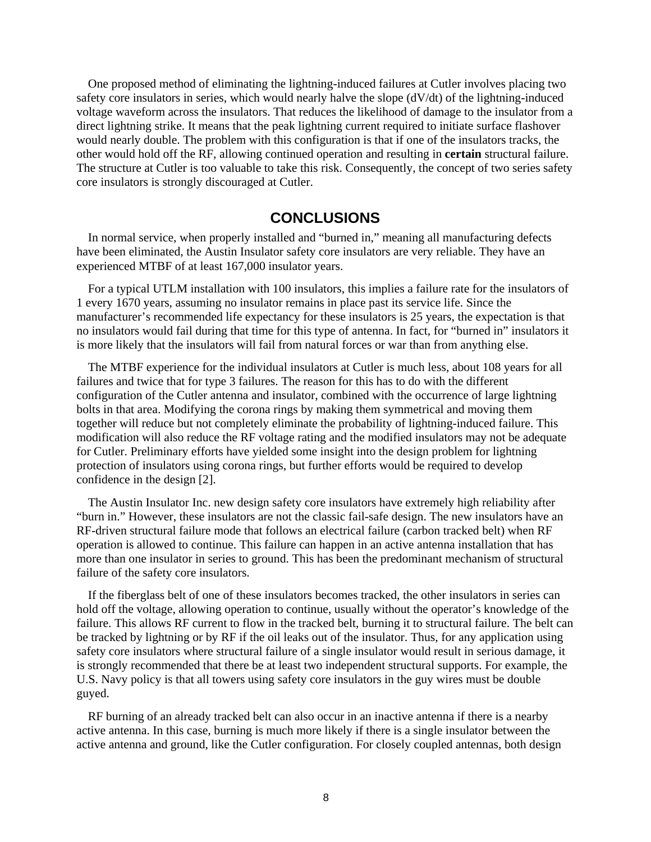<span id="page-12-0"></span>One proposed method of eliminating the lightning-induced failures at Cutler involves placing two safety core insulators in series, which would nearly halve the slope (dV/dt) of the lightning-induced voltage waveform across the insulators. That reduces the likelihood of damage to the insulator from a direct lightning strike. It means that the peak lightning current required to initiate surface flashover would nearly double. The problem with this configuration is that if one of the insulators tracks, the other would hold off the RF, allowing continued operation and resulting in **certain** structural failure. The structure at Cutler is too valuable to take this risk. Consequently, the concept of two series safety core insulators is strongly discouraged at Cutler.

### **CONCLUSIONS**

In normal service, when properly installed and "burned in," meaning all manufacturing defects have been eliminated, the Austin Insulator safety core insulators are very reliable. They have an experienced MTBF of at least 167,000 insulator years.

For a typical UTLM installation with 100 insulators, this implies a failure rate for the insulators of 1 every 1670 years, assuming no insulator remains in place past its service life. Since the manufacturer's recommended life expectancy for these insulators is 25 years, the expectation is that no insulators would fail during that time for this type of antenna. In fact, for "burned in" insulators it is more likely that the insulators will fail from natural forces or war than from anything else.

The MTBF experience for the individual insulators at Cutler is much less, about 108 years for all failures and twice that for type 3 failures. The reason for this has to do with the different configuration of the Cutler antenna and insulator, combined with the occurrence of large lightning bolts in that area. Modifying the corona rings by making them symmetrical and moving them together will reduce but not completely eliminate the probability of lightning-induced failure. This modification will also reduce the RF voltage rating and the modified insulators may not be adequate for Cutler. Preliminary efforts have yielded some insight into the design problem for lightning protection of insulators using corona rings, but further efforts would be required to develop confidence in the design [2].

The Austin Insulator Inc. new design safety core insulators have extremely high reliability after "burn in." However, these insulators are not the classic fail-safe design. The new insulators have an RF-driven structural failure mode that follows an electrical failure (carbon tracked belt) when RF operation is allowed to continue. This failure can happen in an active antenna installation that has more than one insulator in series to ground. This has been the predominant mechanism of structural failure of the safety core insulators.

If the fiberglass belt of one of these insulators becomes tracked, the other insulators in series can hold off the voltage, allowing operation to continue, usually without the operator's knowledge of the failure. This allows RF current to flow in the tracked belt, burning it to structural failure. The belt can be tracked by lightning or by RF if the oil leaks out of the insulator. Thus, for any application using safety core insulators where structural failure of a single insulator would result in serious damage, it is strongly recommended that there be at least two independent structural supports. For example, the U.S. Navy policy is that all towers using safety core insulators in the guy wires must be double guyed.

RF burning of an already tracked belt can also occur in an inactive antenna if there is a nearby active antenna. In this case, burning is much more likely if there is a single insulator between the active antenna and ground, like the Cutler configuration. For closely coupled antennas, both design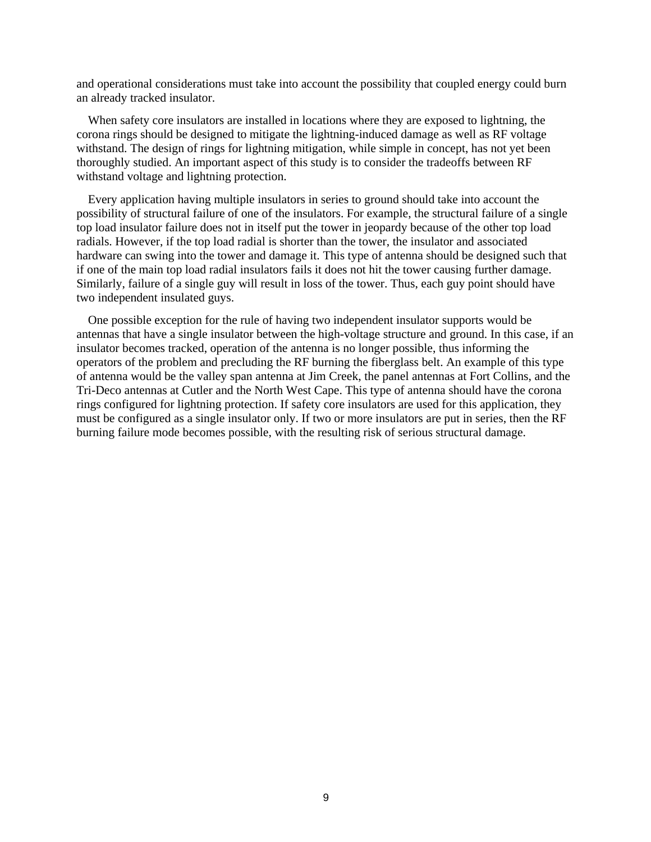and operational considerations must take into account the possibility that coupled energy could burn an already tracked insulator.

When safety core insulators are installed in locations where they are exposed to lightning, the corona rings should be designed to mitigate the lightning-induced damage as well as RF voltage withstand. The design of rings for lightning mitigation, while simple in concept, has not yet been thoroughly studied. An important aspect of this study is to consider the tradeoffs between RF withstand voltage and lightning protection.

Every application having multiple insulators in series to ground should take into account the possibility of structural failure of one of the insulators. For example, the structural failure of a single top load insulator failure does not in itself put the tower in jeopardy because of the other top load radials. However, if the top load radial is shorter than the tower, the insulator and associated hardware can swing into the tower and damage it. This type of antenna should be designed such that if one of the main top load radial insulators fails it does not hit the tower causing further damage. Similarly, failure of a single guy will result in loss of the tower. Thus, each guy point should have two independent insulated guys.

One possible exception for the rule of having two independent insulator supports would be antennas that have a single insulator between the high-voltage structure and ground. In this case, if an insulator becomes tracked, operation of the antenna is no longer possible, thus informing the operators of the problem and precluding the RF burning the fiberglass belt. An example of this type of antenna would be the valley span antenna at Jim Creek, the panel antennas at Fort Collins, and the Tri-Deco antennas at Cutler and the North West Cape. This type of antenna should have the corona rings configured for lightning protection. If safety core insulators are used for this application, they must be configured as a single insulator only. If two or more insulators are put in series, then the RF burning failure mode becomes possible, with the resulting risk of serious structural damage.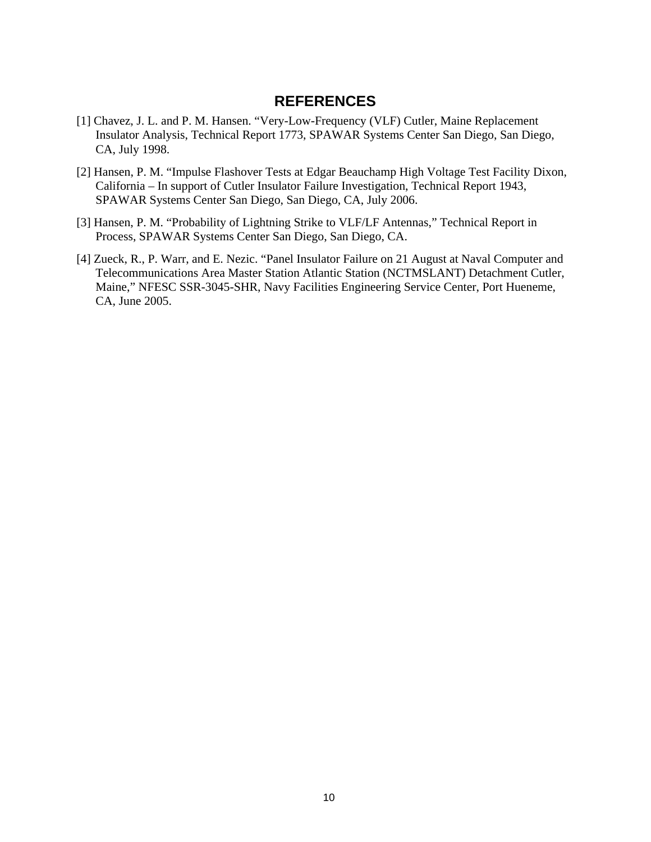### **REFERENCES**

- <span id="page-14-0"></span>[1] Chavez, J. L. and P. M. Hansen. "Very-Low-Frequency (VLF) Cutler, Maine Replacement Insulator Analysis, Technical Report 1773, SPAWAR Systems Center San Diego, San Diego, CA, July 1998.
- [2] Hansen, P. M. "Impulse Flashover Tests at Edgar Beauchamp High Voltage Test Facility Dixon, California – In support of Cutler Insulator Failure Investigation, Technical Report 1943, SPAWAR Systems Center San Diego, San Diego, CA, July 2006.
- [3] Hansen, P. M. "Probability of Lightning Strike to VLF/LF Antennas," Technical Report in Process, SPAWAR Systems Center San Diego, San Diego, CA.
- [4] Zueck, R., P. Warr, and E. Nezic. "Panel Insulator Failure on 21 August at Naval Computer and Telecommunications Area Master Station Atlantic Station (NCTMSLANT) Detachment Cutler, Maine," NFESC SSR-3045-SHR, Navy Facilities Engineering Service Center, Port Hueneme, CA, June 2005.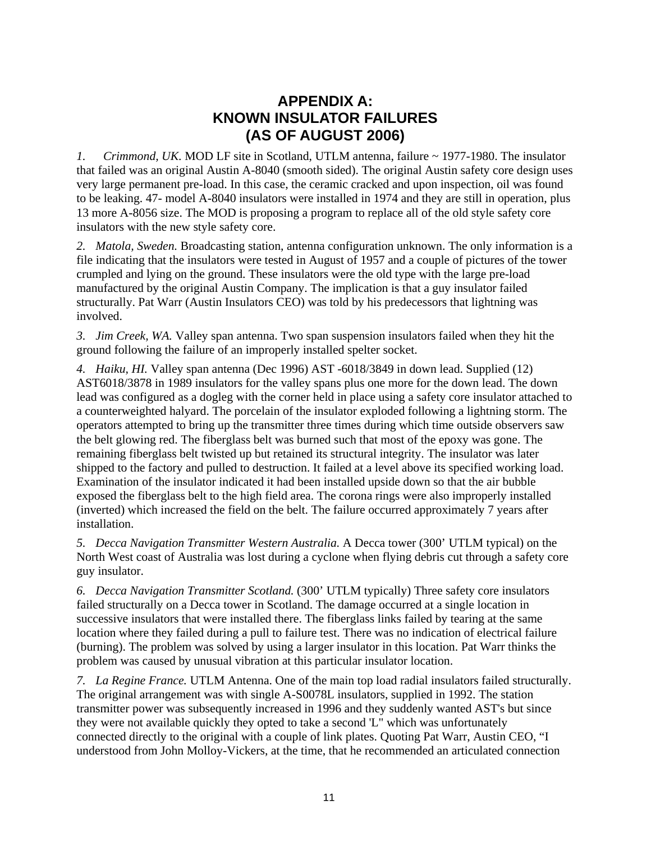# **APPENDIX A: KNOWN INSULATOR FAILURES (AS OF AUGUST 2006)**

<span id="page-15-0"></span>*1. Crimmond, UK.* MOD LF site in Scotland, UTLM antenna, failure ~ 1977-1980. The insulator that failed was an original Austin A-8040 (smooth sided). The original Austin safety core design uses very large permanent pre-load. In this case, the ceramic cracked and upon inspection, oil was found to be leaking. 47- model A-8040 insulators were installed in 1974 and they are still in operation, plus 13 more A-8056 size. The MOD is proposing a program to replace all of the old style safety core insulators with the new style safety core.

*2. Matola, Sweden.* Broadcasting station, antenna configuration unknown. The only information is a file indicating that the insulators were tested in August of 1957 and a couple of pictures of the tower crumpled and lying on the ground. These insulators were the old type with the large pre-load manufactured by the original Austin Company. The implication is that a guy insulator failed structurally. Pat Warr (Austin Insulators CEO) was told by his predecessors that lightning was involved.

*3. Jim Creek, WA.* Valley span antenna. Two span suspension insulators failed when they hit the ground following the failure of an improperly installed spelter socket.

*4. Haiku, HI.* Valley span antenna (Dec 1996) AST -6018/3849 in down lead. Supplied (12) AST6018/3878 in 1989 insulators for the valley spans plus one more for the down lead. The down lead was configured as a dogleg with the corner held in place using a safety core insulator attached to a counterweighted halyard. The porcelain of the insulator exploded following a lightning storm. The operators attempted to bring up the transmitter three times during which time outside observers saw the belt glowing red. The fiberglass belt was burned such that most of the epoxy was gone. The remaining fiberglass belt twisted up but retained its structural integrity. The insulator was later shipped to the factory and pulled to destruction. It failed at a level above its specified working load. Examination of the insulator indicated it had been installed upside down so that the air bubble exposed the fiberglass belt to the high field area. The corona rings were also improperly installed (inverted) which increased the field on the belt. The failure occurred approximately 7 years after installation.

*5. Decca Navigation Transmitter Western Australia.* A Decca tower (300' UTLM typical) on the North West coast of Australia was lost during a cyclone when flying debris cut through a safety core guy insulator.

*6. Decca Navigation Transmitter Scotland.* (300' UTLM typically) Three safety core insulators failed structurally on a Decca tower in Scotland. The damage occurred at a single location in successive insulators that were installed there. The fiberglass links failed by tearing at the same location where they failed during a pull to failure test. There was no indication of electrical failure (burning). The problem was solved by using a larger insulator in this location. Pat Warr thinks the problem was caused by unusual vibration at this particular insulator location.

*7. La Regine France.* UTLM Antenna. One of the main top load radial insulators failed structurally. The original arrangement was with single A-S0078L insulators, supplied in 1992. The station transmitter power was subsequently increased in 1996 and they suddenly wanted AST's but since they were not available quickly they opted to take a second 'L" which was unfortunately connected directly to the original with a couple of link plates. Quoting Pat Warr, Austin CEO, "I understood from John Molloy-Vickers, at the time, that he recommended an articulated connection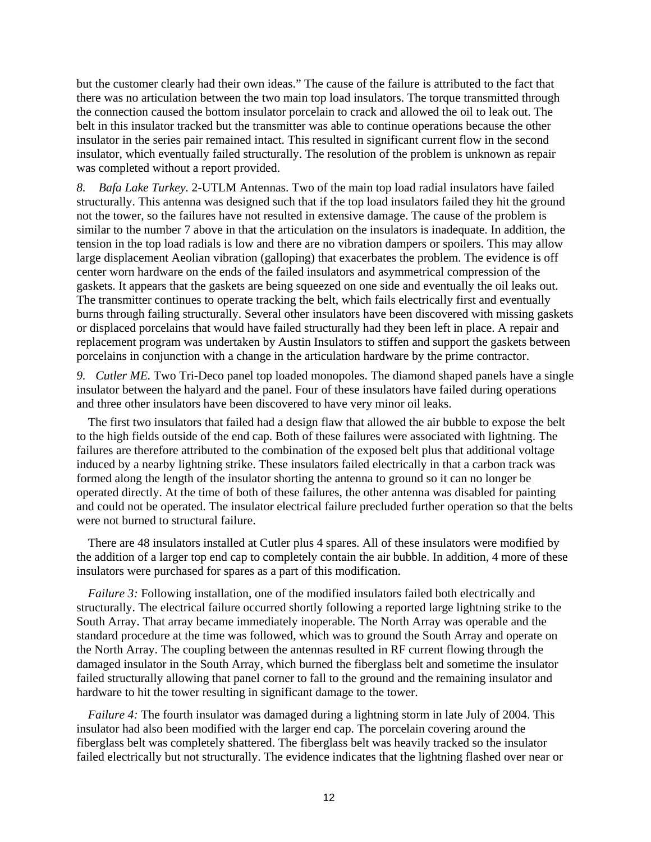but the customer clearly had their own ideas." The cause of the failure is attributed to the fact that there was no articulation between the two main top load insulators. The torque transmitted through the connection caused the bottom insulator porcelain to crack and allowed the oil to leak out. The belt in this insulator tracked but the transmitter was able to continue operations because the other insulator in the series pair remained intact. This resulted in significant current flow in the second insulator, which eventually failed structurally. The resolution of the problem is unknown as repair was completed without a report provided.

*8. Bafa Lake Turkey.* 2-UTLM Antennas. Two of the main top load radial insulators have failed structurally. This antenna was designed such that if the top load insulators failed they hit the ground not the tower, so the failures have not resulted in extensive damage. The cause of the problem is similar to the number 7 above in that the articulation on the insulators is inadequate. In addition, the tension in the top load radials is low and there are no vibration dampers or spoilers. This may allow large displacement Aeolian vibration (galloping) that exacerbates the problem. The evidence is off center worn hardware on the ends of the failed insulators and asymmetrical compression of the gaskets. It appears that the gaskets are being squeezed on one side and eventually the oil leaks out. The transmitter continues to operate tracking the belt, which fails electrically first and eventually burns through failing structurally. Several other insulators have been discovered with missing gaskets or displaced porcelains that would have failed structurally had they been left in place. A repair and replacement program was undertaken by Austin Insulators to stiffen and support the gaskets between porcelains in conjunction with a change in the articulation hardware by the prime contractor.

*9. Cutler ME.* Two Tri-Deco panel top loaded monopoles. The diamond shaped panels have a single insulator between the halyard and the panel. Four of these insulators have failed during operations and three other insulators have been discovered to have very minor oil leaks.

The first two insulators that failed had a design flaw that allowed the air bubble to expose the belt to the high fields outside of the end cap. Both of these failures were associated with lightning. The failures are therefore attributed to the combination of the exposed belt plus that additional voltage induced by a nearby lightning strike. These insulators failed electrically in that a carbon track was formed along the length of the insulator shorting the antenna to ground so it can no longer be operated directly. At the time of both of these failures, the other antenna was disabled for painting and could not be operated. The insulator electrical failure precluded further operation so that the belts were not burned to structural failure.

There are 48 insulators installed at Cutler plus 4 spares. All of these insulators were modified by the addition of a larger top end cap to completely contain the air bubble. In addition, 4 more of these insulators were purchased for spares as a part of this modification.

*Failure 3:* Following installation, one of the modified insulators failed both electrically and structurally. The electrical failure occurred shortly following a reported large lightning strike to the South Array. That array became immediately inoperable. The North Array was operable and the standard procedure at the time was followed, which was to ground the South Array and operate on the North Array. The coupling between the antennas resulted in RF current flowing through the damaged insulator in the South Array, which burned the fiberglass belt and sometime the insulator failed structurally allowing that panel corner to fall to the ground and the remaining insulator and hardware to hit the tower resulting in significant damage to the tower.

*Failure 4:* The fourth insulator was damaged during a lightning storm in late July of 2004. This insulator had also been modified with the larger end cap. The porcelain covering around the fiberglass belt was completely shattered. The fiberglass belt was heavily tracked so the insulator failed electrically but not structurally. The evidence indicates that the lightning flashed over near or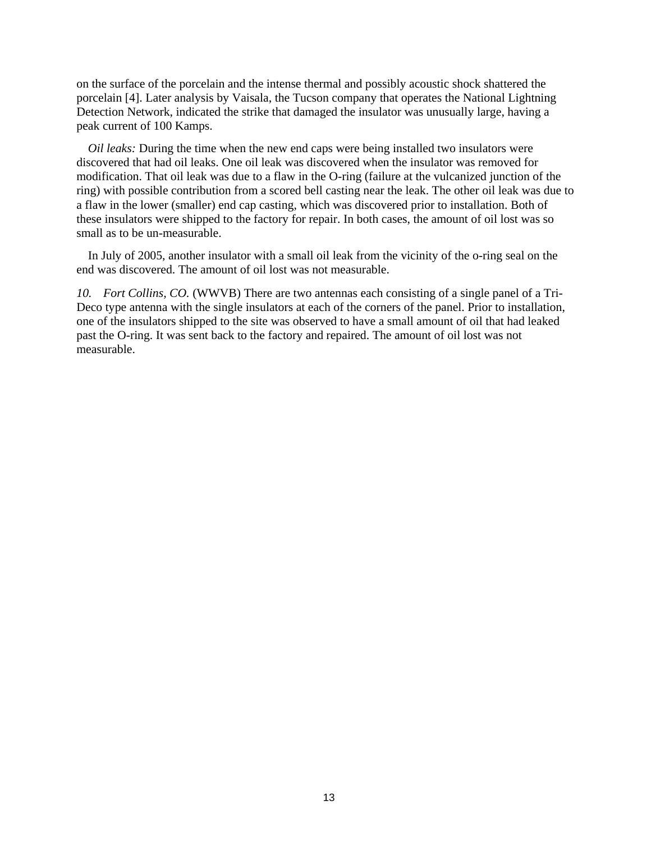on the surface of the porcelain and the intense thermal and possibly acoustic shock shattered the porcelain [4]. Later analysis by Vaisala, the Tucson company that operates the National Lightning Detection Network, indicated the strike that damaged the insulator was unusually large, having a peak current of 100 Kamps.

*Oil leaks:* During the time when the new end caps were being installed two insulators were discovered that had oil leaks. One oil leak was discovered when the insulator was removed for modification. That oil leak was due to a flaw in the O-ring (failure at the vulcanized junction of the ring) with possible contribution from a scored bell casting near the leak. The other oil leak was due to a flaw in the lower (smaller) end cap casting, which was discovered prior to installation. Both of these insulators were shipped to the factory for repair. In both cases, the amount of oil lost was so small as to be un-measurable.

In July of 2005, another insulator with a small oil leak from the vicinity of the o-ring seal on the end was discovered. The amount of oil lost was not measurable.

*10. Fort Collins, CO.* (WWVB) There are two antennas each consisting of a single panel of a Tri-Deco type antenna with the single insulators at each of the corners of the panel. Prior to installation, one of the insulators shipped to the site was observed to have a small amount of oil that had leaked past the O-ring. It was sent back to the factory and repaired. The amount of oil lost was not measurable.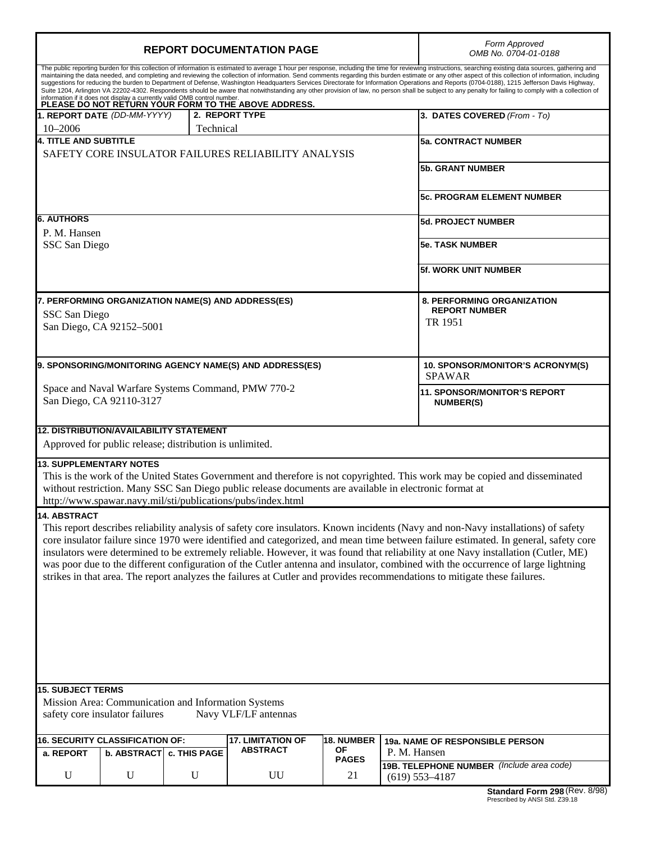| <b>REPORT DOCUMENTATION PAGE</b>                                                                                                                                                                                                                                                                                                                                                                                                                                                                                                                                                                                                                                                                                                                                                                                                                                                                                                                                  |                                                                                                                                                                                                                                                                                                                                        |              |                                                     | Form Approved<br>OMB No. 0704-01-0188             |                                                                 |  |
|-------------------------------------------------------------------------------------------------------------------------------------------------------------------------------------------------------------------------------------------------------------------------------------------------------------------------------------------------------------------------------------------------------------------------------------------------------------------------------------------------------------------------------------------------------------------------------------------------------------------------------------------------------------------------------------------------------------------------------------------------------------------------------------------------------------------------------------------------------------------------------------------------------------------------------------------------------------------|----------------------------------------------------------------------------------------------------------------------------------------------------------------------------------------------------------------------------------------------------------------------------------------------------------------------------------------|--------------|-----------------------------------------------------|---------------------------------------------------|-----------------------------------------------------------------|--|
| The public reporting burden for this collection of information is estimated to average 1 hour per response, including the time for reviewing instructions, searching existing data sources, gathering and<br>maintaining the data needed, and completing and reviewing the collection of information. Send comments regarding this burden estimate or any other aspect of this collection of information, including<br>suggestions for reducing the burden to Department of Defense, Washington Headquarters Services Directorate for Information Operations and Reports (0704-0188), 1215 Jefferson Davis Highway,<br>Suite 1204, Arlington VA 22202-4302. Respondents should be aware that notwithstanding any other provision of law, no person shall be subject to any penalty for failing to comply with a collection of<br>information if it does not display a currently valid OMB control number.<br>PLEASE DO NOT RETURN YOUR FORM TO THE ABOVE ADDRESS. |                                                                                                                                                                                                                                                                                                                                        |              |                                                     |                                                   |                                                                 |  |
|                                                                                                                                                                                                                                                                                                                                                                                                                                                                                                                                                                                                                                                                                                                                                                                                                                                                                                                                                                   | 1. REPORT DATE (DD-MM-YYYY)                                                                                                                                                                                                                                                                                                            |              | 2. REPORT TYPE                                      |                                                   | 3. DATES COVERED (From - To)                                    |  |
| $10 - 2006$                                                                                                                                                                                                                                                                                                                                                                                                                                                                                                                                                                                                                                                                                                                                                                                                                                                                                                                                                       |                                                                                                                                                                                                                                                                                                                                        | Technical    |                                                     |                                                   |                                                                 |  |
| <b>4. TITLE AND SUBTITLE</b>                                                                                                                                                                                                                                                                                                                                                                                                                                                                                                                                                                                                                                                                                                                                                                                                                                                                                                                                      |                                                                                                                                                                                                                                                                                                                                        |              |                                                     |                                                   | <b>5a. CONTRACT NUMBER</b>                                      |  |
|                                                                                                                                                                                                                                                                                                                                                                                                                                                                                                                                                                                                                                                                                                                                                                                                                                                                                                                                                                   |                                                                                                                                                                                                                                                                                                                                        |              | SAFETY CORE INSULATOR FAILURES RELIABILITY ANALYSIS |                                                   | <b>5b. GRANT NUMBER</b>                                         |  |
|                                                                                                                                                                                                                                                                                                                                                                                                                                                                                                                                                                                                                                                                                                                                                                                                                                                                                                                                                                   |                                                                                                                                                                                                                                                                                                                                        |              |                                                     |                                                   | <b>5c. PROGRAM ELEMENT NUMBER</b>                               |  |
| <b>6. AUTHORS</b>                                                                                                                                                                                                                                                                                                                                                                                                                                                                                                                                                                                                                                                                                                                                                                                                                                                                                                                                                 |                                                                                                                                                                                                                                                                                                                                        |              |                                                     |                                                   | <b>5d. PROJECT NUMBER</b>                                       |  |
| P. M. Hansen<br>SSC San Diego                                                                                                                                                                                                                                                                                                                                                                                                                                                                                                                                                                                                                                                                                                                                                                                                                                                                                                                                     |                                                                                                                                                                                                                                                                                                                                        |              |                                                     |                                                   | <b>5e. TASK NUMBER</b>                                          |  |
|                                                                                                                                                                                                                                                                                                                                                                                                                                                                                                                                                                                                                                                                                                                                                                                                                                                                                                                                                                   |                                                                                                                                                                                                                                                                                                                                        |              |                                                     |                                                   |                                                                 |  |
|                                                                                                                                                                                                                                                                                                                                                                                                                                                                                                                                                                                                                                                                                                                                                                                                                                                                                                                                                                   |                                                                                                                                                                                                                                                                                                                                        |              |                                                     |                                                   | <b>5f. WORK UNIT NUMBER</b>                                     |  |
|                                                                                                                                                                                                                                                                                                                                                                                                                                                                                                                                                                                                                                                                                                                                                                                                                                                                                                                                                                   |                                                                                                                                                                                                                                                                                                                                        |              | 7. PERFORMING ORGANIZATION NAME(S) AND ADDRESS(ES)  |                                                   | <b>8. PERFORMING ORGANIZATION</b>                               |  |
| SSC San Diego                                                                                                                                                                                                                                                                                                                                                                                                                                                                                                                                                                                                                                                                                                                                                                                                                                                                                                                                                     |                                                                                                                                                                                                                                                                                                                                        |              |                                                     |                                                   | <b>REPORT NUMBER</b>                                            |  |
|                                                                                                                                                                                                                                                                                                                                                                                                                                                                                                                                                                                                                                                                                                                                                                                                                                                                                                                                                                   | San Diego, CA 92152-5001                                                                                                                                                                                                                                                                                                               | TR 1951      |                                                     |                                                   |                                                                 |  |
| 9. SPONSORING/MONITORING AGENCY NAME(S) AND ADDRESS(ES)                                                                                                                                                                                                                                                                                                                                                                                                                                                                                                                                                                                                                                                                                                                                                                                                                                                                                                           |                                                                                                                                                                                                                                                                                                                                        |              |                                                     | 10. SPONSOR/MONITOR'S ACRONYM(S)<br><b>SPAWAR</b> |                                                                 |  |
| Space and Naval Warfare Systems Command, PMW 770-2<br>San Diego, CA 92110-3127                                                                                                                                                                                                                                                                                                                                                                                                                                                                                                                                                                                                                                                                                                                                                                                                                                                                                    |                                                                                                                                                                                                                                                                                                                                        |              | 11. SPONSOR/MONITOR'S REPORT<br><b>NUMBER(S)</b>    |                                                   |                                                                 |  |
|                                                                                                                                                                                                                                                                                                                                                                                                                                                                                                                                                                                                                                                                                                                                                                                                                                                                                                                                                                   | <b>12. DISTRIBUTION/AVAILABILITY STATEMENT</b>                                                                                                                                                                                                                                                                                         |              |                                                     |                                                   |                                                                 |  |
|                                                                                                                                                                                                                                                                                                                                                                                                                                                                                                                                                                                                                                                                                                                                                                                                                                                                                                                                                                   | Approved for public release; distribution is unlimited.                                                                                                                                                                                                                                                                                |              |                                                     |                                                   |                                                                 |  |
|                                                                                                                                                                                                                                                                                                                                                                                                                                                                                                                                                                                                                                                                                                                                                                                                                                                                                                                                                                   | <b>13. SUPPLEMENTARY NOTES</b><br>This is the work of the United States Government and therefore is not copyrighted. This work may be copied and disseminated<br>without restriction. Many SSC San Diego public release documents are available in electronic format at<br>http://www.spawar.navy.mil/sti/publications/pubs/index.html |              |                                                     |                                                   |                                                                 |  |
| 14. ABSTRACT<br>This report describes reliability analysis of safety core insulators. Known incidents (Navy and non-Navy installations) of safety<br>core insulator failure since 1970 were identified and categorized, and mean time between failure estimated. In general, safety core<br>insulators were determined to be extremely reliable. However, it was found that reliability at one Navy installation (Cutler, ME)<br>was poor due to the different configuration of the Cutler antenna and insulator, combined with the occurrence of large lightning<br>strikes in that area. The report analyzes the failures at Cutler and provides recommendations to mitigate these failures.                                                                                                                                                                                                                                                                    |                                                                                                                                                                                                                                                                                                                                        |              |                                                     |                                                   |                                                                 |  |
|                                                                                                                                                                                                                                                                                                                                                                                                                                                                                                                                                                                                                                                                                                                                                                                                                                                                                                                                                                   | <b>15. SUBJECT TERMS</b>                                                                                                                                                                                                                                                                                                               |              |                                                     |                                                   |                                                                 |  |
| Mission Area: Communication and Information Systems<br>safety core insulator failures<br>Navy VLF/LF antennas                                                                                                                                                                                                                                                                                                                                                                                                                                                                                                                                                                                                                                                                                                                                                                                                                                                     |                                                                                                                                                                                                                                                                                                                                        |              |                                                     |                                                   |                                                                 |  |
|                                                                                                                                                                                                                                                                                                                                                                                                                                                                                                                                                                                                                                                                                                                                                                                                                                                                                                                                                                   | 16. SECURITY CLASSIFICATION OF:                                                                                                                                                                                                                                                                                                        |              | <b>17. LIMITATION OF</b>                            | <b>18. NUMBER</b>                                 | 19a. NAME OF RESPONSIBLE PERSON                                 |  |
| a. REPORT                                                                                                                                                                                                                                                                                                                                                                                                                                                                                                                                                                                                                                                                                                                                                                                                                                                                                                                                                         | b. ABSTRACT                                                                                                                                                                                                                                                                                                                            | c. THIS PAGE | <b>ABSTRACT</b>                                     | ΟF<br><b>PAGES</b>                                | P. M. Hansen                                                    |  |
| $\mathbf U$                                                                                                                                                                                                                                                                                                                                                                                                                                                                                                                                                                                                                                                                                                                                                                                                                                                                                                                                                       | $\mathbf U$                                                                                                                                                                                                                                                                                                                            | $\mathbf U$  | UU                                                  | 21                                                | 19B. TELEPHONE NUMBER (Include area code)<br>$(619) 553 - 4187$ |  |
|                                                                                                                                                                                                                                                                                                                                                                                                                                                                                                                                                                                                                                                                                                                                                                                                                                                                                                                                                                   |                                                                                                                                                                                                                                                                                                                                        |              |                                                     |                                                   | Standard Form 298 (Rev. 8/98)                                   |  |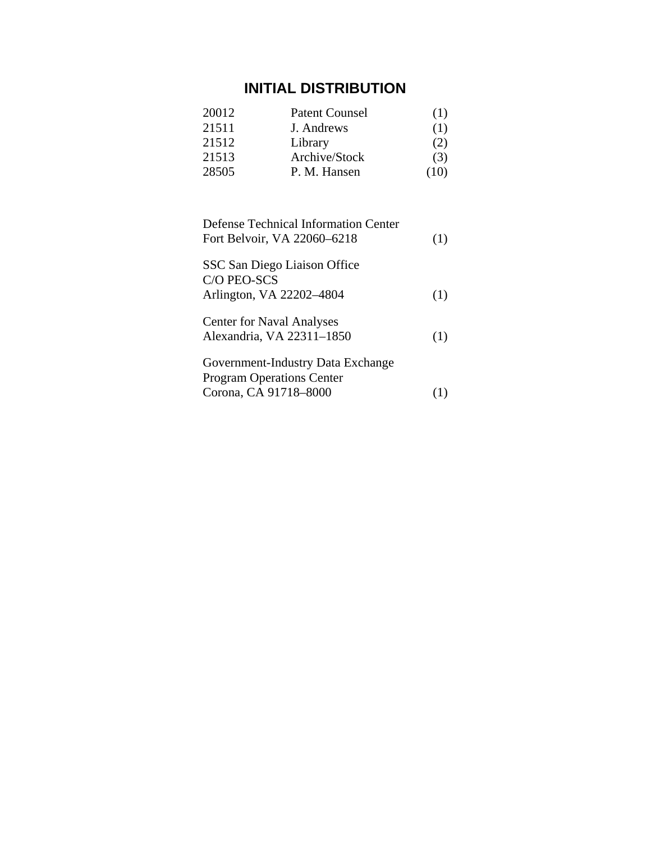# **INITIAL DISTRIBUTION**

| 20012 | <b>Patent Counsel</b> | (1)  |
|-------|-----------------------|------|
| 21511 | J. Andrews            | (1)  |
| 21512 | Library               | (2)  |
| 21513 | Archive/Stock         | (3)  |
| 28505 | P. M. Hansen          | (10) |

| <b>Defense Technical Information Center</b><br>Fort Belvoir, VA 22060-6218 | (1) |
|----------------------------------------------------------------------------|-----|
| SSC San Diego Liaison Office<br>C/O PEO-SCS                                |     |
| Arlington, VA 22202-4804                                                   | (1) |
| <b>Center for Naval Analyses</b>                                           |     |
| Alexandria, VA 22311-1850                                                  | (1) |
| Government-Industry Data Exchange                                          |     |
| <b>Program Operations Center</b>                                           |     |
| Corona, CA 91718-8000                                                      |     |